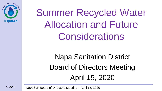

Summer Recycled Water Allocation and Future **Considerations** 

> Napa Sanitation District Board of Directors Meeting April 15, 2020

Slide 1 NapaSan Board of Directors Meeting – April 15, 2020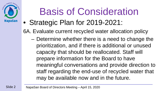

# Basis of Consideration

• Strategic Plan for 2019-2021:

6A. Evaluate current recycled water allocation policy

– Determine whether there is a need to change the prioritization, and if there is additional or unused capacity that should be reallocated. Staff will prepare information for the Board to have meaningful conversations and provide direction to staff regarding the end-use of recycled water that may be available now and in the future.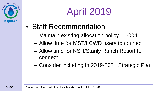

# April 2019

- Staff Recommendation
	- Maintain existing allocation policy 11-004
	- Allow time for MST/LCWD users to connect
	- Allow time for NSH/Stanly Ranch Resort to connect
	- Consider including in 2019-2021 Strategic Plan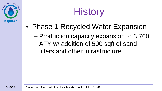



- Phase 1 Recycled Water Expansion
	- Production capacity expansion to 3,700 AFY w/ addition of 500 sqft of sand filters and other infrastructure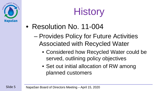



- Resolution No. 11-004
	- Provides Policy for Future Activities Associated with Recycled Water
		- Considered how Recycled Water could be served, outlining policy objectives
		- Set out initial allocation of RW among planned customers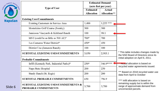| decion. Treatment . Recover.<br>Reuse |  |
|---------------------------------------|--|
| <b>NapaSan</b>                        |  |

| Treatment . Recove |                                                                         | <b>Estimated Demand</b><br>(acre-feet per year) |                                       |                          |
|--------------------|-------------------------------------------------------------------------|-------------------------------------------------|---------------------------------------|--------------------------|
|                    | <b>Type of User</b>                                                     | <b>Estimated</b><br><b>Allocation</b>           | <b>Actual</b><br><b>Allocation</b> ** |                          |
|                    | <b>Existing Uses/Commitments</b>                                        |                                                 |                                       |                          |
| lapaSan            | <b>Existing Customers in Service Area</b>                               | 1,400                                           | $1,255$ ***                           |                          |
|                    | Montelcino Golf Course (Somky)                                          | 300                                             | 300                                   |                          |
|                    | Jamieson Vineyards & Kirkland Ranch                                     | 100                                             | 98.1                                  |                          |
|                    | MST (could be as little as $500 \text{ AF}$ )*                          | $700*$                                          | 700                                   |                          |
|                    | Los Carneros Water District*                                            | 450*                                            | 450                                   |                          |
|                    | District Use (Jameson Ranch)                                            | 100                                             | 100                                   |                          |
|                    | <b>SUBTOTAL EXISTING USES/COMMITMENTS</b>                               | 3,050                                           | 2,903.1                               | $*$ Th<br>the            |
|                    | <b>Probable Commitments</b>                                             |                                                 |                                       |                          |
|                    | Infill (Kennedy Park, Industrial Parks)*                                | $250*$                                          | 346.9****                             | $\overline{\phantom{a}}$ |
|                    | Napa State Hospital                                                     | 200                                             | 250                                   | recy                     |
|                    | <b>Stanly Ranch (St. Regis)</b>                                         | 200                                             | 200                                   | $***$<br>data            |
|                    | <b>SUBTOTAL PROBABLE COMMITMENTS</b>                                    | 650                                             | 796.9                                 | ****                     |
| Slide 6            | <b>SUBTOTAL EXISTING USES/COMMITMENTS &amp;</b><br>PROBABLE COMMITMENTS | 3,700                                           | 3,700                                 | rem<br>rang<br>unc       |

his table includes changes made by NSD Board of Directors since its al adoption on April 6, 2011.

**<u>tctual</u> allocation is based on** cled water agreements issued.

Based on 2018 recycled water use a from April to October

Infill allocation is based on aining supply but is within the ge of approximate demand from onnected parcels.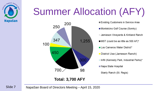

## Summer Allocation (AFY)



Existing Customers in Service Area Montelcino Golf Course (Somky) Jamieson Vineyards & Kirkland Ranch MST (could be as little as 500 AF)\* Los Carneros Water District\* ■ District Use (Jameson Ranch) ■ Infill (Kennedy Park, Industrial Parks)\* Napa State Hospital  $\Box$  Stanly Ranch (St. Regis)

**Total: 3,700 AFY**

Slide 7 NapaSan Board of Directors Meeting – April 15, 2020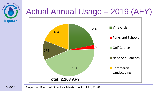

Slide 8

#### Actual Annual Usage – 2019 (AFY)



NapaSan Board of Directors Meeting – April 15, 2020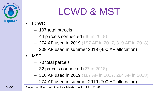

#### LCWD & MST

- LCWD
	- 107 total parcels
	- 44 parcels connected (40 in 2018)
	- 274 AF used in 2019 (197 AF in 2017, 319 AF in 2018)
	- 209 AF used in summer 2019 (450 AF allocation)
- MST
	- 70 total parcels
	- 32 parcels connected (27 in 2018)
	- 316 AF used in 2019 (187 AF in 2017, 284 AF in 2018)
	- 274 AF used in summer 2019 (700 AF allocation)

NapaSan Board of Directors Meeting – April 15, 2020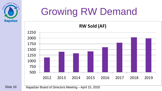

# Growing RW Demand



Slide 10

NapaSan Board of Directors Meeting – April 15, 2020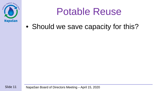

#### Potable Reuse

• Should we save capacity for this?